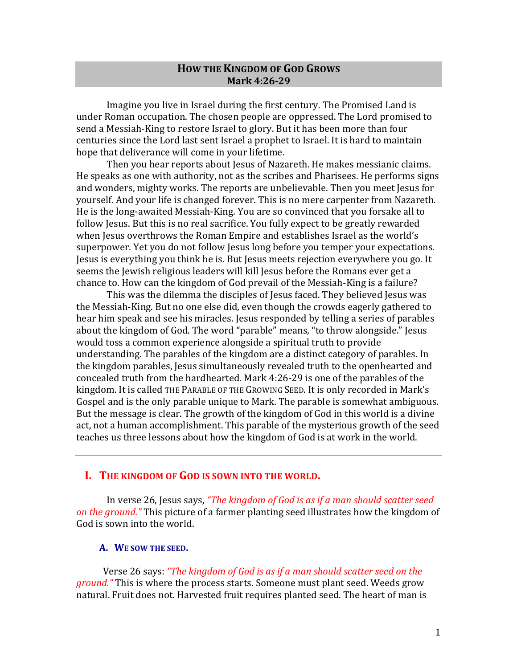# **HOW THE KINGDOM OF GOD GROWS Mark 4:26-29**

Imagine you live in Israel during the first century. The Promised Land is under Roman occupation. The chosen people are oppressed. The Lord promised to send a Messiah-King to restore Israel to glory. But it has been more than four centuries since the Lord last sent Israel a prophet to Israel. It is hard to maintain hope that deliverance will come in your lifetime.

Then you hear reports about Jesus of Nazareth. He makes messianic claims. He speaks as one with authority, not as the scribes and Pharisees. He performs signs and wonders, mighty works. The reports are unbelievable. Then you meet Jesus for vourself. And your life is changed forever. This is no mere carpenter from Nazareth. He is the long-awaited Messiah-King. You are so convinced that you forsake all to follow Jesus. But this is no real sacrifice. You fully expect to be greatly rewarded when Jesus overthrows the Roman Empire and establishes Israel as the world's superpower. Yet you do not follow Jesus long before you temper your expectations. Jesus is everything you think he is. But Jesus meets rejection everywhere you go. It seems the Jewish religious leaders will kill Jesus before the Romans ever get a chance to. How can the kingdom of God prevail of the Messiah-King is a failure?

This was the dilemma the disciples of Jesus faced. They believed Jesus was the Messiah-King. But no one else did, even though the crowds eagerly gathered to hear him speak and see his miracles. Jesus responded by telling a series of parables about the kingdom of God. The word "parable" means, "to throw alongside." Jesus would toss a common experience alongside a spiritual truth to provide understanding. The parables of the kingdom are a distinct category of parables. In the kingdom parables, Jesus simultaneously revealed truth to the openhearted and concealed truth from the hardhearted. Mark 4:26-29 is one of the parables of the kingdom. It is called THE PARABLE OF THE GROWING SEED. It is only recorded in Mark's Gospel and is the only parable unique to Mark. The parable is somewhat ambiguous. But the message is clear. The growth of the kingdom of God in this world is a divine act, not a human accomplishment. This parable of the mysterious growth of the seed teaches us three lessons about how the kingdom of God is at work in the world.

# I. THE KINGDOM OF GOD IS SOWN INTO THE WORLD.

In verse 26, Jesus says, "The kingdom of God is as if a man should scatter seed on the ground." This picture of a farmer planting seed illustrates how the kingdom of God is sown into the world.

# A. WE SOW THE SEED.

Verse 26 says: "The kingdom of God is as if a man should scatter seed on the ground." This is where the process starts. Someone must plant seed. Weeds grow natural. Fruit does not. Harvested fruit requires planted seed. The heart of man is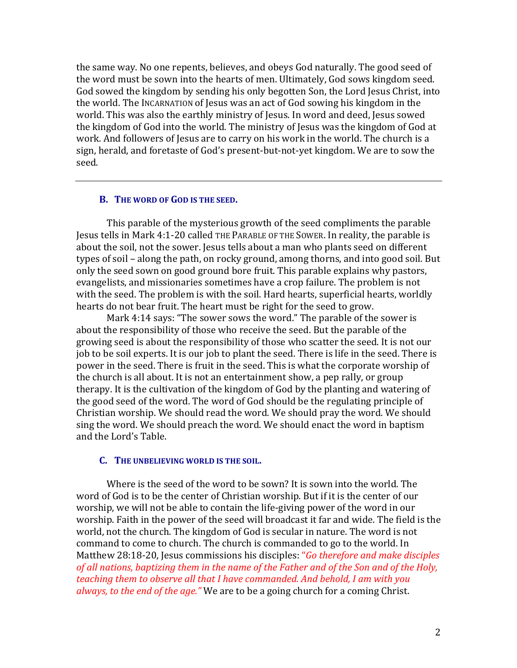the same way. No one repents, believes, and obeys God naturally. The good seed of the word must be sown into the hearts of men. Ultimately, God sows kingdom seed. God sowed the kingdom by sending his only begotten Son, the Lord Jesus Christ, into the world. The INCARNATION of Jesus was an act of God sowing his kingdom in the world. This was also the earthly ministry of Jesus. In word and deed, Jesus sowed the kingdom of God into the world. The ministry of Jesus was the kingdom of God at work. And followers of Jesus are to carry on his work in the world. The church is a sign, herald, and foretaste of God's present-but-not-yet kingdom. We are to sow the seed.

### **B.** THE WORD OF GOD IS THE SEED.

This parable of the mysterious growth of the seed compliments the parable Jesus tells in Mark 4:1-20 called THE PARABLE OF THE SOWER. In reality, the parable is about the soil, not the sower. Jesus tells about a man who plants seed on different types of soil – along the path, on rocky ground, among thorns, and into good soil. But only the seed sown on good ground bore fruit. This parable explains why pastors, evangelists, and missionaries sometimes have a crop failure. The problem is not with the seed. The problem is with the soil. Hard hearts, superficial hearts, worldly hearts do not bear fruit. The heart must be right for the seed to grow.

Mark 4:14 says: "The sower sows the word." The parable of the sower is about the responsibility of those who receive the seed. But the parable of the growing seed is about the responsibility of those who scatter the seed. It is not our job to be soil experts. It is our job to plant the seed. There is life in the seed. There is power in the seed. There is fruit in the seed. This is what the corporate worship of the church is all about. It is not an entertainment show, a pep rally, or group therapy. It is the cultivation of the kingdom of God by the planting and watering of the good seed of the word. The word of God should be the regulating principle of Christian worship. We should read the word. We should pray the word. We should sing the word. We should preach the word. We should enact the word in baptism and the Lord's Table.

#### **C.** THE UNBELIEVING WORLD IS THE SOIL.

Where is the seed of the word to be sown? It is sown into the world. The word of God is to be the center of Christian worship. But if it is the center of our worship, we will not be able to contain the life-giving power of the word in our worship. Faith in the power of the seed will broadcast it far and wide. The field is the world, not the church. The kingdom of God is secular in nature. The word is not command to come to church. The church is commanded to go to the world. In Matthew 28:18-20, Jesus commissions his disciples: "*Go therefore and make disciples* of all nations, baptizing them in the name of the Father and of the Son and of the Holy, teaching them to observe all that I have commanded. And behold, I am with you *always, to the end of the age."* We are to be a going church for a coming Christ.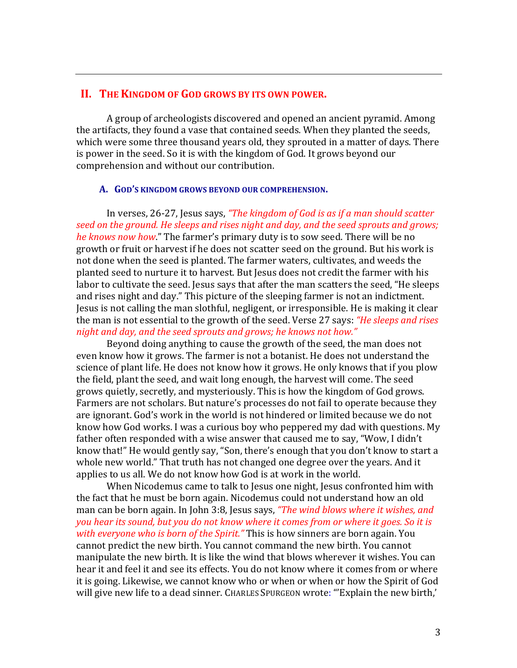# II. THE KINGDOM OF GOD GROWS BY ITS OWN POWER.

A group of archeologists discovered and opened an ancient pyramid. Among the artifacts, they found a vase that contained seeds. When they planted the seeds, which were some three thousand years old, they sprouted in a matter of days. There is power in the seed. So it is with the kingdom of God. It grows beyond our comprehension and without our contribution.

### A. GOD'S KINGDOM GROWS BEYOND OUR COMPREHENSION.

In verses, 26-27, Jesus says, "The kingdom of God is as if a man should scatter seed on the ground. He sleeps and rises night and day, and the seed sprouts and grows; he knows now how." The farmer's primary duty is to sow seed. There will be no growth or fruit or harvest if he does not scatter seed on the ground. But his work is not done when the seed is planted. The farmer waters, cultivates, and weeds the planted seed to nurture it to harvest. But Jesus does not credit the farmer with his labor to cultivate the seed. Jesus says that after the man scatters the seed, "He sleeps and rises night and day." This picture of the sleeping farmer is not an indictment. Jesus is not calling the man slothful, negligent, or irresponsible. He is making it clear the man is not essential to the growth of the seed. Verse 27 says: "He sleeps and rises night and day, and the seed sprouts and grows; he knows not how."

Beyond doing anything to cause the growth of the seed, the man does not even know how it grows. The farmer is not a botanist. He does not understand the science of plant life. He does not know how it grows. He only knows that if you plow the field, plant the seed, and wait long enough, the harvest will come. The seed grows quietly, secretly, and mysteriously. This is how the kingdom of God grows. Farmers are not scholars. But nature's processes do not fail to operate because they are ignorant. God's work in the world is not hindered or limited because we do not know how God works. I was a curious boy who peppered my dad with questions. My father often responded with a wise answer that caused me to say, "Wow, I didn't know that!" He would gently say, "Son, there's enough that you don't know to start a whole new world." That truth has not changed one degree over the years. And it applies to us all. We do not know how God is at work in the world.

When Nicodemus came to talk to Jesus one night, Jesus confronted him with the fact that he must be born again. Nicodemus could not understand how an old man can be born again. In John 3:8, Jesus says, "The wind blows where it wishes, and you hear its sound, but you do not know where it comes from or where it goes. So it is with everyone who is born of the Spirit." This is how sinners are born again. You cannot predict the new birth. You cannot command the new birth. You cannot manipulate the new birth. It is like the wind that blows wherever it wishes. You can hear it and feel it and see its effects. You do not know where it comes from or where it is going. Likewise, we cannot know who or when or when or how the Spirit of God will give new life to a dead sinner. CHARLES SPURGEON wrote: "Explain the new birth,'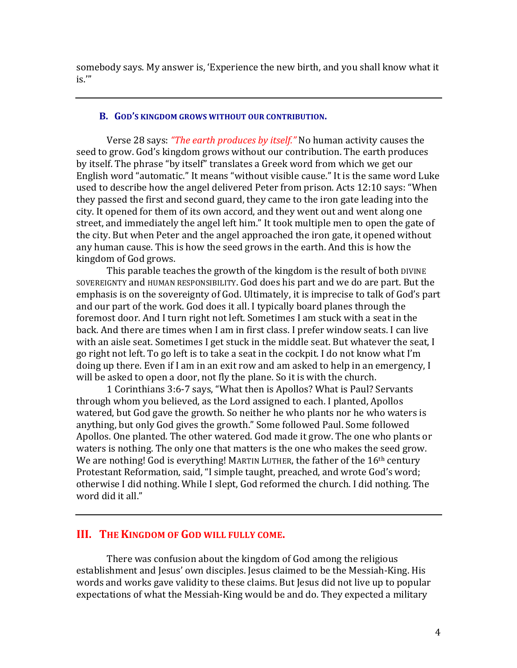somebody says. My answer is, 'Experience the new birth, and you shall know what it  $is.$ "

## **B.** GOD'S KINGDOM GROWS WITHOUT OUR CONTRIBUTION.

Verse 28 says: *"The earth produces by itself."* No human activity causes the seed to grow. God's kingdom grows without our contribution. The earth produces by itself. The phrase "by itself" translates a Greek word from which we get our English word "automatic." It means "without visible cause." It is the same word Luke used to describe how the angel delivered Peter from prison. Acts 12:10 says: "When they passed the first and second guard, they came to the iron gate leading into the city. It opened for them of its own accord, and they went out and went along one street, and immediately the angel left him." It took multiple men to open the gate of the city. But when Peter and the angel approached the iron gate, it opened without any human cause. This is how the seed grows in the earth. And this is how the kingdom of God grows.

This parable teaches the growth of the kingdom is the result of both DIVINE SOVEREIGNTY and HUMAN RESPONSIBILITY. God does his part and we do are part. But the emphasis is on the sovereignty of God. Ultimately, it is imprecise to talk of God's part and our part of the work. God does it all. I typically board planes through the foremost door. And I turn right not left. Sometimes I am stuck with a seat in the back. And there are times when I am in first class. I prefer window seats. I can live with an aisle seat. Sometimes I get stuck in the middle seat. But whatever the seat, I go right not left. To go left is to take a seat in the cockpit. I do not know what I'm doing up there. Even if I am in an exit row and am asked to help in an emergency, I will be asked to open a door, not fly the plane. So it is with the church.

1 Corinthians 3:6-7 says, "What then is Apollos? What is Paul? Servants through whom you believed, as the Lord assigned to each. I planted, Apollos watered, but God gave the growth. So neither he who plants nor he who waters is anything, but only God gives the growth." Some followed Paul. Some followed Apollos. One planted. The other watered. God made it grow. The one who plants or waters is nothing. The only one that matters is the one who makes the seed grow. We are nothing! God is everything! MARTIN LUTHER, the father of the  $16<sup>th</sup>$  century Protestant Reformation, said, "I simple taught, preached, and wrote God's word; otherwise I did nothing. While I slept, God reformed the church. I did nothing. The word did it all."

# **III. THE KINGDOM OF GOD WILL FULLY COME.**

There was confusion about the kingdom of God among the religious establishment and Jesus' own disciples. Jesus claimed to be the Messiah-King. His words and works gave validity to these claims. But Jesus did not live up to popular expectations of what the Messiah-King would be and do. They expected a military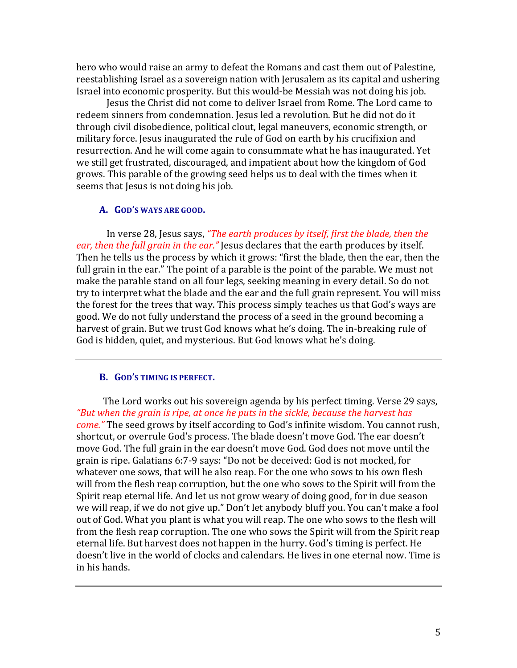hero who would raise an army to defeat the Romans and cast them out of Palestine, reestablishing Israel as a sovereign nation with Jerusalem as its capital and ushering Israel into economic prosperity. But this would-be Messiah was not doing his job.

Jesus the Christ did not come to deliver Israel from Rome. The Lord came to redeem sinners from condemnation. Jesus led a revolution. But he did not do it through civil disobedience, political clout, legal maneuvers, economic strength, or military force. Jesus inaugurated the rule of God on earth by his crucifixion and resurrection. And he will come again to consummate what he has inaugurated. Yet we still get frustrated, discouraged, and impatient about how the kingdom of God grows. This parable of the growing seed helps us to deal with the times when it seems that Jesus is not doing his job.

### A. GOD'S WAYS ARE GOOD.

In verse 28, Jesus says, "The earth produces by itself, first the blade, then the ear, then the full grain in the ear." Jesus declares that the earth produces by itself. Then he tells us the process by which it grows: "first the blade, then the ear, then the full grain in the ear." The point of a parable is the point of the parable. We must not make the parable stand on all four legs, seeking meaning in every detail. So do not try to interpret what the blade and the ear and the full grain represent. You will miss the forest for the trees that way. This process simply teaches us that God's ways are good. We do not fully understand the process of a seed in the ground becoming a harvest of grain. But we trust God knows what he's doing. The in-breaking rule of God is hidden, quiet, and mysterious. But God knows what he's doing.

## **B. GOD'S TIMING IS PERFECT.**

The Lord works out his sovereign agenda by his perfect timing. Verse 29 says, "But when the grain is ripe, at once he puts in the sickle, because the harvest has come." The seed grows by itself according to God's infinite wisdom. You cannot rush, shortcut, or overrule God's process. The blade doesn't move God. The ear doesn't move God. The full grain in the ear doesn't move God. God does not move until the grain is ripe. Galatians 6:7-9 says: "Do not be deceived: God is not mocked, for whatever one sows, that will he also reap. For the one who sows to his own flesh will from the flesh reap corruption, but the one who sows to the Spirit will from the Spirit reap eternal life. And let us not grow weary of doing good, for in due season we will reap, if we do not give up." Don't let anybody bluff you. You can't make a fool out of God. What you plant is what you will reap. The one who sows to the flesh will from the flesh reap corruption. The one who sows the Spirit will from the Spirit reap eternal life. But harvest does not happen in the hurry. God's timing is perfect. He doesn't live in the world of clocks and calendars. He lives in one eternal now. Time is in his hands.